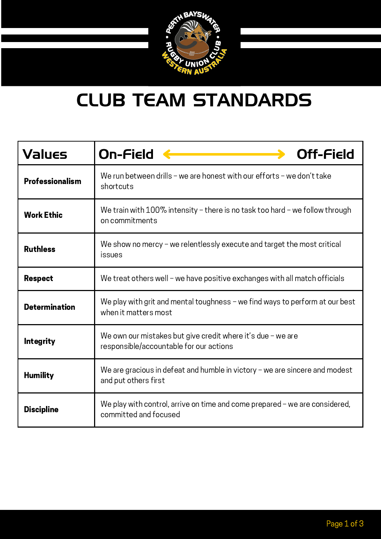

### CLUB TEAM STANDARDS

| Values                 | On-Field<br><b>Off-Field</b>                                                                             |
|------------------------|----------------------------------------------------------------------------------------------------------|
| <b>Professionalism</b> | We run between drills - we are honest with our efforts - we don't take<br>shortcuts                      |
| <b>Work Ethic</b>      | We train with $100\%$ intensity – there is no task too hard – we follow through<br>on commitments        |
| <b>Ruthless</b>        | We show no mercy $-$ we relentlessly execute and target the most critical<br>issues                      |
| <b>Respect</b>         | We treat others well - we have positive exchanges with all match officials                               |
| <b>Determination</b>   | We play with grit and mental toughness - we find ways to perform at our best<br>when it matters most     |
| <b>Integrity</b>       | We own our mistakes but give credit where it's due $-$ we are<br>responsible/accountable for our actions |
| <b>Humility</b>        | We are gracious in defeat and humble in victory $-$ we are sincere and modest<br>and put others first    |
| <b>Discipline</b>      | We play with control, arrive on time and come prepared - we are considered,<br>committed and focused     |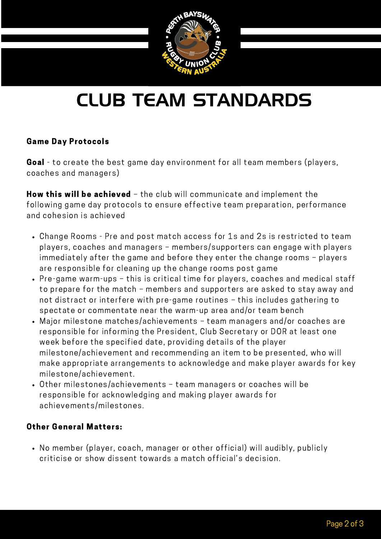

# CLUB TEAM STANDARDS

#### Game Day Protocols

Goal - to create the best game day environment for all team members (players, coaches and managers)

How this will be achieved - the club will communicate and implement the following game day protocols to ensure effective team preparation, performance and cohesion is achieved

- Change Rooms Pre and post match access for 1s and 2s is restricted to team players, coaches and managers – members/supporters can engage with players immediately after the game and before they enter the change rooms – players are responsible for cleaning up the change rooms post game
- Pre-game warm-ups this is critical time for players, coaches and medical staff to prepare for the match – members and supporters are asked to stay away and not distract or interfere with pre-game routines – this includes gathering to spectate or commentate near the warm-up area and/or team bench
- Major milestone matches/achievements team managers and/or coaches are responsible for informing the President, Club Secretary or DOR at least one week before the specified date, providing details of the player milestone/achievement and recommending an item to be presented, who will make appropriate arrangements to acknowledge and make player awards for key milestone/achievement.
- Other milestones/achievements team managers or coaches will be responsible for acknowledging and making player awards for achievements/milestones.

#### Other General Matters:

• No member (player, coach, manager or other official) will audibly, publicly criticise or show dissent towards a match official's decision.